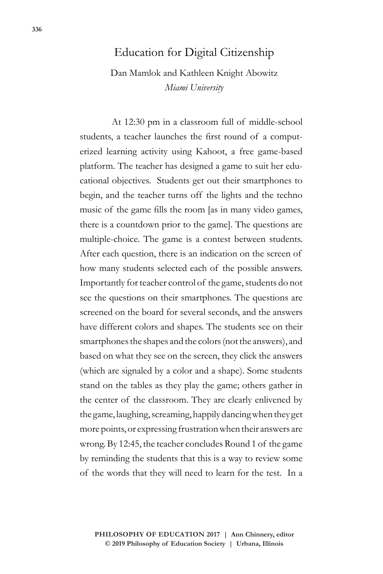# Education for Digital Citizenship

Dan Mamlok and Kathleen Knight Abowitz *Miami University*

At 12:30 pm in a classroom full of middle-school students, a teacher launches the first round of a computerized learning activity using Kahoot, a free game-based platform. The teacher has designed a game to suit her educational objectives. Students get out their smartphones to begin, and the teacher turns off the lights and the techno music of the game fills the room [as in many video games, there is a countdown prior to the game]. The questions are multiple-choice. The game is a contest between students. After each question, there is an indication on the screen of how many students selected each of the possible answers. Importantly for teacher control of the game, students do not see the questions on their smartphones. The questions are screened on the board for several seconds, and the answers have different colors and shapes. The students see on their smartphones the shapes and the colors (not the answers), and based on what they see on the screen, they click the answers (which are signaled by a color and a shape). Some students stand on the tables as they play the game; others gather in the center of the classroom. They are clearly enlivened by the game, laughing, screaming, happily dancing when they get more points, or expressing frustration when their answers are wrong. By 12:45, the teacher concludes Round 1 of the game by reminding the students that this is a way to review some of the words that they will need to learn for the test. In a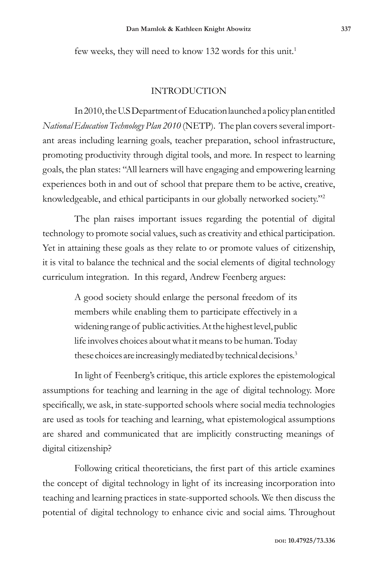few weeks, they will need to know 132 words for this unit.<sup>1</sup>

## INTRODUCTION

In 2010, the U.S Department of Education launched a policy plan entitled *National Education Technology Plan 2010* (NETP)*.* The plan covers several important areas including learning goals, teacher preparation, school infrastructure, promoting productivity through digital tools, and more. In respect to learning goals, the plan states: "All learners will have engaging and empowering learning experiences both in and out of school that prepare them to be active, creative, knowledgeable, and ethical participants in our globally networked society."2

The plan raises important issues regarding the potential of digital technology to promote social values, such as creativity and ethical participation. Yet in attaining these goals as they relate to or promote values of citizenship, it is vital to balance the technical and the social elements of digital technology curriculum integration. In this regard, Andrew Feenberg argues:

> A good society should enlarge the personal freedom of its members while enabling them to participate effectively in a widening range of public activities. At the highest level, public life involves choices about what it means to be human. Today these choices are increasingly mediated by technical decisions.<sup>3</sup>

In light of Feenberg's critique, this article explores the epistemological assumptions for teaching and learning in the age of digital technology. More specifically, we ask, in state-supported schools where social media technologies are used as tools for teaching and learning, what epistemological assumptions are shared and communicated that are implicitly constructing meanings of digital citizenship?

Following critical theoreticians, the first part of this article examines the concept of digital technology in light of its increasing incorporation into teaching and learning practices in state-supported schools. We then discuss the potential of digital technology to enhance civic and social aims. Throughout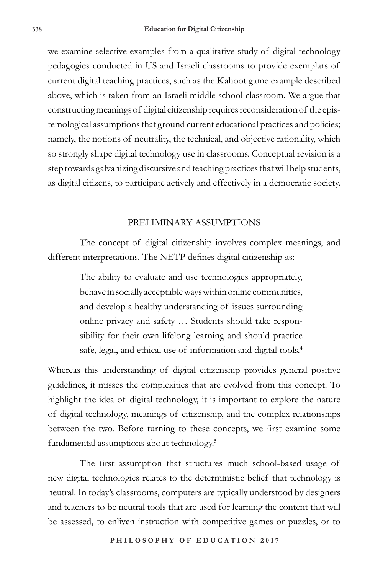we examine selective examples from a qualitative study of digital technology pedagogies conducted in US and Israeli classrooms to provide exemplars of current digital teaching practices, such as the Kahoot game example described above, which is taken from an Israeli middle school classroom. We argue that constructing meanings of digital citizenship requires reconsideration of the epistemological assumptions that ground current educational practices and policies; namely, the notions of neutrality, the technical, and objective rationality, which so strongly shape digital technology use in classrooms. Conceptual revision is a step towards galvanizing discursive and teaching practices that will help students, as digital citizens, to participate actively and effectively in a democratic society.

#### PRELIMINARY ASSUMPTIONS

The concept of digital citizenship involves complex meanings, and different interpretations. The NETP defines digital citizenship as:

> The ability to evaluate and use technologies appropriately, behave in socially acceptable ways within online communities, and develop a healthy understanding of issues surrounding online privacy and safety … Students should take responsibility for their own lifelong learning and should practice safe, legal, and ethical use of information and digital tools.<sup>4</sup>

Whereas this understanding of digital citizenship provides general positive guidelines, it misses the complexities that are evolved from this concept. To highlight the idea of digital technology, it is important to explore the nature of digital technology, meanings of citizenship, and the complex relationships between the two. Before turning to these concepts, we first examine some fundamental assumptions about technology.<sup>5</sup>

The first assumption that structures much school-based usage of new digital technologies relates to the deterministic belief that technology is neutral. In today's classrooms, computers are typically understood by designers and teachers to be neutral tools that are used for learning the content that will be assessed, to enliven instruction with competitive games or puzzles, or to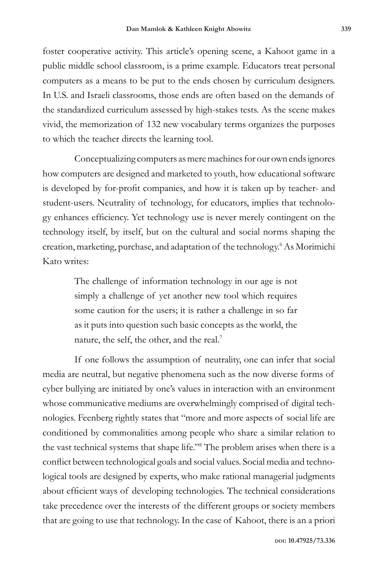foster cooperative activity. This article's opening scene, a Kahoot game in a public middle school classroom, is a prime example. Educators treat personal computers as a means to be put to the ends chosen by curriculum designers. In U.S. and Israeli classrooms, those ends are often based on the demands of the standardized curriculum assessed by high-stakes tests. As the scene makes vivid, the memorization of 132 new vocabulary terms organizes the purposes to which the teacher directs the learning tool.

Conceptualizing computers as mere machines for our own ends ignores how computers are designed and marketed to youth, how educational software is developed by for-profit companies, and how it is taken up by teacher- and student-users. Neutrality of technology, for educators, implies that technology enhances efficiency. Yet technology use is never merely contingent on the technology itself, by itself, but on the cultural and social norms shaping the creation, marketing, purchase, and adaptation of the technology.<sup>6</sup> As Morimichi Kato writes:

> The challenge of information technology in our age is not simply a challenge of yet another new tool which requires some caution for the users; it is rather a challenge in so far as it puts into question such basic concepts as the world, the nature, the self, the other, and the real.<sup>7</sup>

If one follows the assumption of neutrality, one can infer that social media are neutral, but negative phenomena such as the now diverse forms of cyber bullying are initiated by one's values in interaction with an environment whose communicative mediums are overwhelmingly comprised of digital technologies. Feenberg rightly states that "more and more aspects of social life are conditioned by commonalities among people who share a similar relation to the vast technical systems that shape life."8 The problem arises when there is a conflict between technological goals and social values. Social media and technological tools are designed by experts, who make rational managerial judgments about efficient ways of developing technologies. The technical considerations take precedence over the interests of the different groups or society members that are going to use that technology. In the case of Kahoot, there is an a priori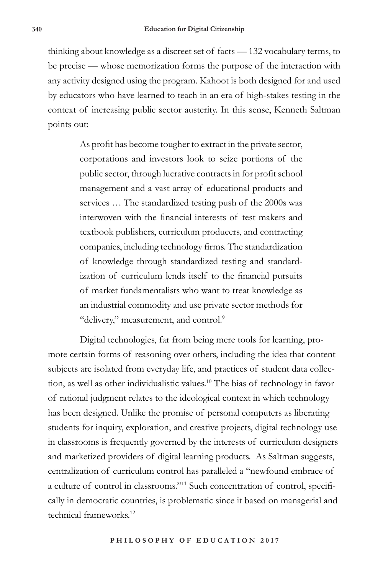thinking about knowledge as a discreet set of facts — 132 vocabulary terms, to be precise — whose memorization forms the purpose of the interaction with any activity designed using the program. Kahoot is both designed for and used by educators who have learned to teach in an era of high-stakes testing in the context of increasing public sector austerity. In this sense, Kenneth Saltman points out:

> As profit has become tougher to extract in the private sector, corporations and investors look to seize portions of the public sector, through lucrative contracts in for profit school management and a vast array of educational products and services … The standardized testing push of the 2000s was interwoven with the financial interests of test makers and textbook publishers, curriculum producers, and contracting companies, including technology firms. The standardization of knowledge through standardized testing and standardization of curriculum lends itself to the financial pursuits of market fundamentalists who want to treat knowledge as an industrial commodity and use private sector methods for "delivery," measurement, and control.<sup>9</sup>

Digital technologies, far from being mere tools for learning, promote certain forms of reasoning over others, including the idea that content subjects are isolated from everyday life, and practices of student data collection, as well as other individualistic values.10 The bias of technology in favor of rational judgment relates to the ideological context in which technology has been designed. Unlike the promise of personal computers as liberating students for inquiry, exploration, and creative projects, digital technology use in classrooms is frequently governed by the interests of curriculum designers and marketized providers of digital learning products. As Saltman suggests, centralization of curriculum control has paralleled a "newfound embrace of a culture of control in classrooms."11 Such concentration of control, specifically in democratic countries, is problematic since it based on managerial and technical frameworks.12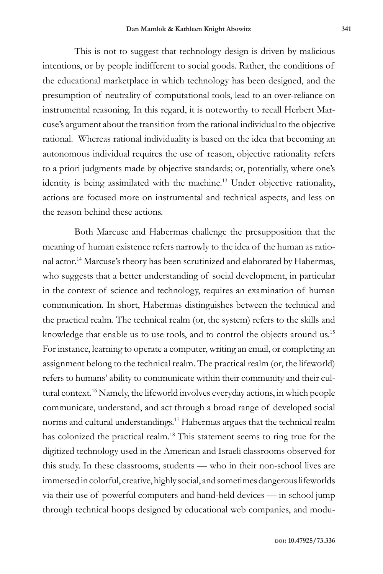This is not to suggest that technology design is driven by malicious intentions, or by people indifferent to social goods. Rather, the conditions of the educational marketplace in which technology has been designed, and the presumption of neutrality of computational tools, lead to an over-reliance on instrumental reasoning. In this regard, it is noteworthy to recall Herbert Marcuse's argument about the transition from the rational individual to the objective rational. Whereas rational individuality is based on the idea that becoming an autonomous individual requires the use of reason, objective rationality refers to a priori judgments made by objective standards; or, potentially, where one's identity is being assimilated with the machine.<sup>13</sup> Under objective rationality, actions are focused more on instrumental and technical aspects, and less on the reason behind these actions.

Both Marcuse and Habermas challenge the presupposition that the meaning of human existence refers narrowly to the idea of the human as rational actor.14 Marcuse's theory has been scrutinized and elaborated by Habermas, who suggests that a better understanding of social development, in particular in the context of science and technology, requires an examination of human communication. In short, Habermas distinguishes between the technical and the practical realm. The technical realm (or, the system) refers to the skills and knowledge that enable us to use tools, and to control the objects around us.15 For instance, learning to operate a computer, writing an email, or completing an assignment belong to the technical realm. The practical realm (or, the lifeworld) refers to humans' ability to communicate within their community and their cultural context.16 Namely, the lifeworld involves everyday actions, in which people communicate, understand, and act through a broad range of developed social norms and cultural understandings.17 Habermas argues that the technical realm has colonized the practical realm.<sup>18</sup> This statement seems to ring true for the digitized technology used in the American and Israeli classrooms observed for this study. In these classrooms, students — who in their non-school lives are immersed in colorful, creative, highly social, and sometimes dangerous lifeworlds via their use of powerful computers and hand-held devices — in school jump through technical hoops designed by educational web companies, and modu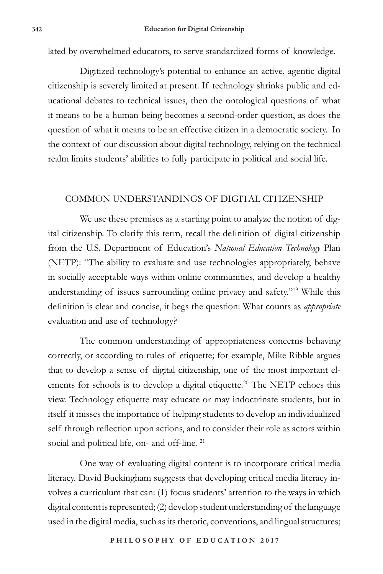lated by overwhelmed educators, to serve standardized forms of knowledge.

Digitized technology's potential to enhance an active, agentic digital citizenship is severely limited at present. If technology shrinks public and educational debates to technical issues, then the ontological questions of what it means to be a human being becomes a second-order question, as does the question of what it means to be an effective citizen in a democratic society. In the context of our discussion about digital technology, relying on the technical realm limits students' abilities to fully participate in political and social life.

## COMMON UNDERSTANDINGS OF DIGITAL CITIZENSHIP

We use these premises as a starting point to analyze the notion of digital citizenship. To clarify this term, recall the definition of digital citizenship from the U.S. Department of Education's *National Education Technology* Plan (NETP): "The ability to evaluate and use technologies appropriately, behave in socially acceptable ways within online communities, and develop a healthy understanding of issues surrounding online privacy and safety."<sup>19</sup> While this definition is clear and concise, it begs the question: What counts as *appropriate* evaluation and use of technology?

The common understanding of appropriateness concerns behaving correctly, or according to rules of etiquette; for example, Mike Ribble argues that to develop a sense of digital citizenship, one of the most important elements for schools is to develop a digital etiquette.<sup>20</sup> The NETP echoes this view. Technology etiquette may educate or may indoctrinate students, but in itself it misses the importance of helping students to develop an individualized self through reflection upon actions, and to consider their role as actors within social and political life, on- and off-line.<sup>21</sup>

One way of evaluating digital content is to incorporate critical media literacy. David Buckingham suggests that developing critical media literacy involves a curriculum that can: (1) focus students' attention to the ways in which digital content is represented; (2) develop student understanding of the language used in the digital media, such as its rhetoric, conventions, and lingual structures;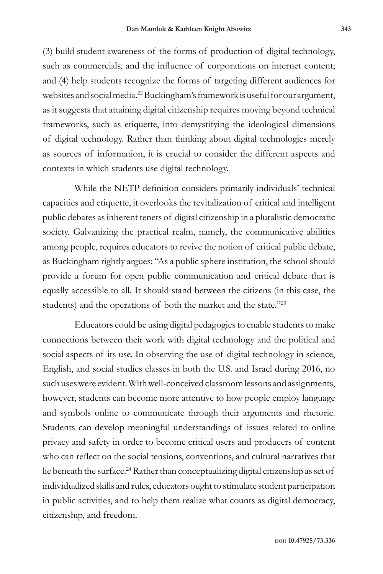(3) build student awareness of the forms of production of digital technology, such as commercials, and the influence of corporations on internet content; and (4) help students recognize the forms of targeting different audiences for websites and social media.22 Buckingham's framework is useful for our argument, as it suggests that attaining digital citizenship requires moving beyond technical frameworks, such as etiquette, into demystifying the ideological dimensions of digital technology. Rather than thinking about digital technologies merely as sources of information, it is crucial to consider the different aspects and contexts in which students use digital technology.

While the NETP definition considers primarily individuals' technical capacities and etiquette, it overlooks the revitalization of critical and intelligent public debates as inherent tenets of digital citizenship in a pluralistic democratic society. Galvanizing the practical realm, namely, the communicative abilities among people, requires educators to revive the notion of critical public debate, as Buckingham rightly argues: "As a public sphere institution, the school should provide a forum for open public communication and critical debate that is equally accessible to all. It should stand between the citizens (in this case, the students) and the operations of both the market and the state."<sup>23</sup>

Educators could be using digital pedagogies to enable students to make connections between their work with digital technology and the political and social aspects of its use. In observing the use of digital technology in science, English, and social studies classes in both the U.S. and Israel during 2016, no such uses were evident. With well-conceived classroom lessons and assignments, however, students can become more attentive to how people employ language and symbols online to communicate through their arguments and rhetoric. Students can develop meaningful understandings of issues related to online privacy and safety in order to become critical users and producers of content who can reflect on the social tensions, conventions, and cultural narratives that lie beneath the surface.<sup>24</sup> Rather than conceptualizing digital citizenship as set of individualized skills and rules, educators ought to stimulate student participation in public activities, and to help them realize what counts as digital democracy, citizenship, and freedom.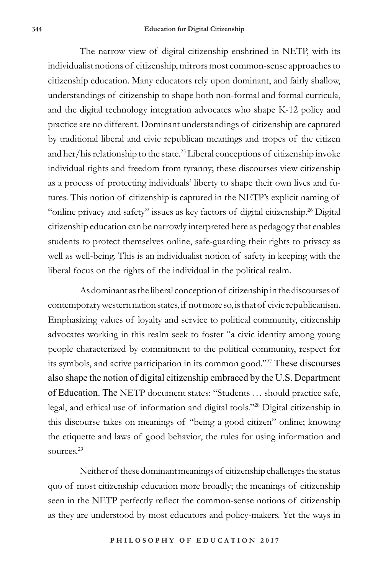The narrow view of digital citizenship enshrined in NETP, with its individualist notions of citizenship, mirrors most common-sense approaches to citizenship education. Many educators rely upon dominant, and fairly shallow, understandings of citizenship to shape both non-formal and formal curricula, and the digital technology integration advocates who shape K-12 policy and practice are no different. Dominant understandings of citizenship are captured by traditional liberal and civic republican meanings and tropes of the citizen and her/his relationship to the state.<sup>25</sup> Liberal conceptions of citizenship invoke individual rights and freedom from tyranny; these discourses view citizenship as a process of protecting individuals' liberty to shape their own lives and futures. This notion of citizenship is captured in the NETP's explicit naming of "online privacy and safety" issues as key factors of digital citizenship.<sup>26</sup> Digital citizenship education can be narrowly interpreted here as pedagogy that enables students to protect themselves online, safe-guarding their rights to privacy as well as well-being. This is an individualist notion of safety in keeping with the liberal focus on the rights of the individual in the political realm.

As dominant as the liberal conception of citizenship in the discourses of contemporary western nation states, if not more so, is that of civic republicanism. Emphasizing values of loyalty and service to political community, citizenship advocates working in this realm seek to foster "a civic identity among young people characterized by commitment to the political community, respect for its symbols, and active participation in its common good."27 These discourses also shape the notion of digital citizenship embraced by the U.S. Department of Education. The NETP document states: "Students … should practice safe, legal, and ethical use of information and digital tools."28 Digital citizenship in this discourse takes on meanings of "being a good citizen" online; knowing the etiquette and laws of good behavior, the rules for using information and sources.<sup>29</sup>

Neither of these dominant meanings of citizenship challenges the status quo of most citizenship education more broadly; the meanings of citizenship seen in the NETP perfectly reflect the common-sense notions of citizenship as they are understood by most educators and policy-makers. Yet the ways in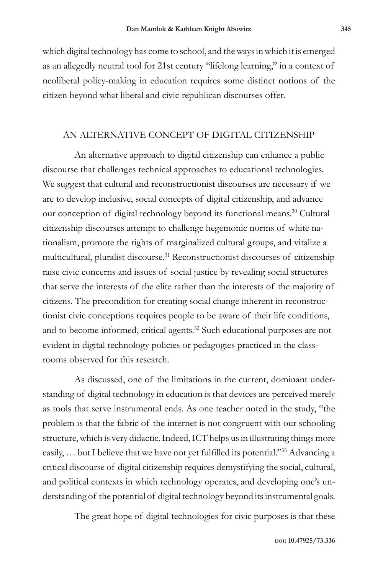which digital technology has come to school, and the ways in which it is emerged as an allegedly neutral tool for 21st century "lifelong learning," in a context of neoliberal policy-making in education requires some distinct notions of the citizen beyond what liberal and civic republican discourses offer.

### AN ALTERNATIVE CONCEPT OF DIGITAL CITIZENSHIP

An alternative approach to digital citizenship can enhance a public discourse that challenges technical approaches to educational technologies. We suggest that cultural and reconstructionist discourses are necessary if we are to develop inclusive, social concepts of digital citizenship, and advance our conception of digital technology beyond its functional means.<sup>30</sup> Cultural citizenship discourses attempt to challenge hegemonic norms of white nationalism, promote the rights of marginalized cultural groups, and vitalize a multicultural, pluralist discourse.31 Reconstructionist discourses of citizenship raise civic concerns and issues of social justice by revealing social structures that serve the interests of the elite rather than the interests of the majority of citizens. The precondition for creating social change inherent in reconstructionist civic conceptions requires people to be aware of their life conditions, and to become informed, critical agents.<sup>32</sup> Such educational purposes are not evident in digital technology policies or pedagogies practiced in the classrooms observed for this research.

As discussed, one of the limitations in the current, dominant understanding of digital technology in education is that devices are perceived merely as tools that serve instrumental ends. As one teacher noted in the study, "the problem is that the fabric of the internet is not congruent with our schooling structure, which is very didactic. Indeed, ICT helps us in illustrating things more easily, ... but I believe that we have not yet fulfilled its potential."<sup>33</sup> Advancing a critical discourse of digital citizenship requires demystifying the social, cultural, and political contexts in which technology operates, and developing one's understanding of the potential of digital technology beyond its instrumental goals.

The great hope of digital technologies for civic purposes is that these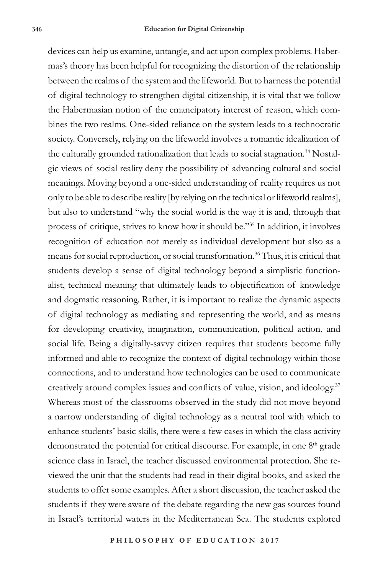devices can help us examine, untangle, and act upon complex problems. Habermas's theory has been helpful for recognizing the distortion of the relationship between the realms of the system and the lifeworld. But to harness the potential of digital technology to strengthen digital citizenship, it is vital that we follow the Habermasian notion of the emancipatory interest of reason, which combines the two realms. One-sided reliance on the system leads to a technocratic society. Conversely, relying on the lifeworld involves a romantic idealization of the culturally grounded rationalization that leads to social stagnation.<sup>34</sup> Nostalgic views of social reality deny the possibility of advancing cultural and social meanings. Moving beyond a one-sided understanding of reality requires us not only to be able to describe reality [by relying on the technical or lifeworld realms], but also to understand "why the social world is the way it is and, through that process of critique, strives to know how it should be."35 In addition, it involves recognition of education not merely as individual development but also as a means for social reproduction, or social transformation.<sup>36</sup> Thus, it is critical that students develop a sense of digital technology beyond a simplistic functionalist, technical meaning that ultimately leads to objectification of knowledge and dogmatic reasoning. Rather, it is important to realize the dynamic aspects of digital technology as mediating and representing the world, and as means for developing creativity, imagination, communication, political action, and social life. Being a digitally-savvy citizen requires that students become fully informed and able to recognize the context of digital technology within those connections, and to understand how technologies can be used to communicate creatively around complex issues and conflicts of value, vision, and ideology.<sup>37</sup> Whereas most of the classrooms observed in the study did not move beyond a narrow understanding of digital technology as a neutral tool with which to enhance students' basic skills, there were a few cases in which the class activity demonstrated the potential for critical discourse. For example, in one  $8<sup>th</sup>$  grade science class in Israel, the teacher discussed environmental protection. She reviewed the unit that the students had read in their digital books, and asked the students to offer some examples. After a short discussion, the teacher asked the students if they were aware of the debate regarding the new gas sources found in Israel's territorial waters in the Mediterranean Sea. The students explored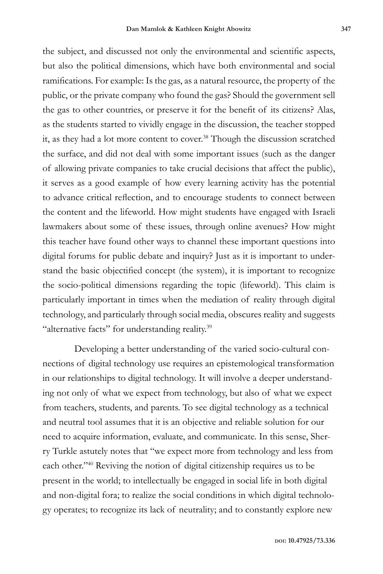the subject, and discussed not only the environmental and scientific aspects, but also the political dimensions, which have both environmental and social ramifications. For example: Is the gas, as a natural resource, the property of the public, or the private company who found the gas? Should the government sell the gas to other countries, or preserve it for the benefit of its citizens? Alas, as the students started to vividly engage in the discussion, the teacher stopped it, as they had a lot more content to cover.<sup>38</sup> Though the discussion scratched the surface, and did not deal with some important issues (such as the danger of allowing private companies to take crucial decisions that affect the public), it serves as a good example of how every learning activity has the potential to advance critical reflection, and to encourage students to connect between the content and the lifeworld. How might students have engaged with Israeli lawmakers about some of these issues, through online avenues? How might this teacher have found other ways to channel these important questions into digital forums for public debate and inquiry? Just as it is important to understand the basic objectified concept (the system), it is important to recognize the socio-political dimensions regarding the topic (lifeworld). This claim is particularly important in times when the mediation of reality through digital technology, and particularly through social media, obscures reality and suggests "alternative facts" for understanding reality.<sup>39</sup>

Developing a better understanding of the varied socio-cultural connections of digital technology use requires an epistemological transformation in our relationships to digital technology. It will involve a deeper understanding not only of what we expect from technology, but also of what we expect from teachers, students, and parents. To see digital technology as a technical and neutral tool assumes that it is an objective and reliable solution for our need to acquire information, evaluate, and communicate. In this sense, Sherry Turkle astutely notes that "we expect more from technology and less from each other."40 Reviving the notion of digital citizenship requires us to be present in the world; to intellectually be engaged in social life in both digital and non-digital fora; to realize the social conditions in which digital technology operates; to recognize its lack of neutrality; and to constantly explore new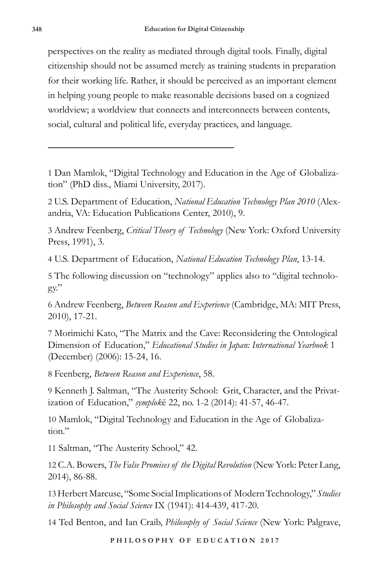perspectives on the reality as mediated through digital tools. Finally, digital citizenship should not be assumed merely as training students in preparation for their working life. Rather, it should be perceived as an important element in helping young people to make reasonable decisions based on a cognized worldview; a worldview that connects and interconnects between contents, social, cultural and political life, everyday practices, and language.

1 Dan Mamlok, "Digital Technology and Education in the Age of Globalization" (PhD diss., Miami University, 2017).

2 U.S. Department of Education, *National Education Technology Plan 2010* (Alexandria, VA: Education Publications Center, 2010), 9.

3 Andrew Feenberg, *Critical Theory of Technology* (New York: Oxford University Press, 1991), 3.

4 U.S. Department of Education, *National Education Technology Plan*, 13-14.

5 The following discussion on "technology" applies also to "digital technolo $gy$ ."

6 Andrew Feenberg, *Between Reason and Experience* (Cambridge, MA: MIT Press, 2010), 17-21.

7 Morimichi Kato, "The Matrix and the Cave: Reconsidering the Ontological Dimension of Education," *Educational Studies in Japan: International Yearbook* 1 (December) (2006): 15-24, 16.

8 Feenberg, *Between Reason and Experience*, 58.

9 Kenneth J. Saltman, "The Austerity School: Grit, Character, and the Privatization of Education," *symplok*ē 22, no. 1-2 (2014): 41-57, 46-47.

10 Mamlok, "Digital Technology and Education in the Age of Globalization."

11 Saltman, "The Austerity School," 42.

12 C.A. Bowers, *The False Promises of the Digital Revolution* (New York: Peter Lang, 2014), 86-88.

13Herbert Marcuse, "Some Social Implications of Modern Technology," *Studies in Philosophy and Social Science* IX (1941): 414-439, 417-20.

14 Ted Benton, and Ian Craib, *Philosophy of Social Science* (New York: Palgrave,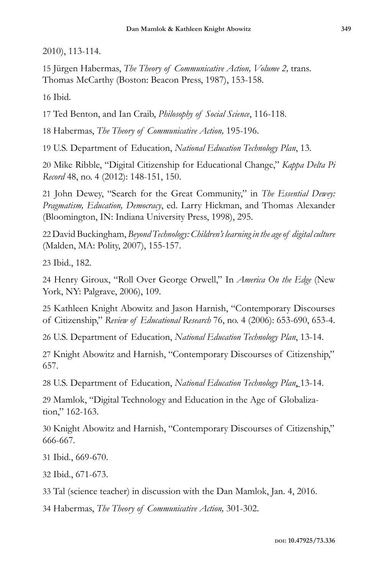2010), 113-114.

15 Jürgen Habermas, *The Theory of Communicative Action, Volume 2,* trans*.*  Thomas McCarthy (Boston: Beacon Press, 1987), 153-158.

16 Ibid.

17 Ted Benton, and Ian Craib, *Philosophy of Social Science*, 116-118.

18 Habermas, *The Theory of Communicative Action,* 195-196.

19 U.S. Department of Education, *National Education Technology Plan*, 13*.* 

20 Mike Ribble, "Digital Citizenship for Educational Change," *Kappa Delta Pi Record* 48, no. 4 (2012): 148-151, 150.

21 John Dewey, "Search for the Great Community," in *The Essential Dewey: Pragmatism, Education, Democracy*, ed. Larry Hickman, and Thomas Alexander (Bloomington, IN: Indiana University Press, 1998), 295.

22 David Buckingham, *Beyond Technology: Children's learning in the age of digital culture* (Malden, MA: Polity, 2007), 155-157.

23 Ibid., 182.

24 Henry Giroux, "Roll Over George Orwell," In *America On the Edge* (New York, NY: Palgrave, 2006), 109.

25 Kathleen Knight Abowitz and Jason Harnish, "Contemporary Discourses of Citizenship," *Review of Educational Research* 76, no. 4 (2006): 653-690, 653-4.

26 U.S. Department of Education, *National Education Technology Plan*, 13-14.

27 Knight Abowitz and Harnish, "Contemporary Discourses of Citizenship," 657.

28 U.S. Department of Education, *National Education Technology Plan*, 13-14.

29 Mamlok, "Digital Technology and Education in the Age of Globalization," 162-163.

30 Knight Abowitz and Harnish, "Contemporary Discourses of Citizenship," 666-667.

31 Ibid., 669-670.

32 Ibid., 671-673.

33 Tal (science teacher) in discussion with the Dan Mamlok, Jan. 4, 2016.

34 Habermas, *The Theory of Communicative Action,* 301-302.